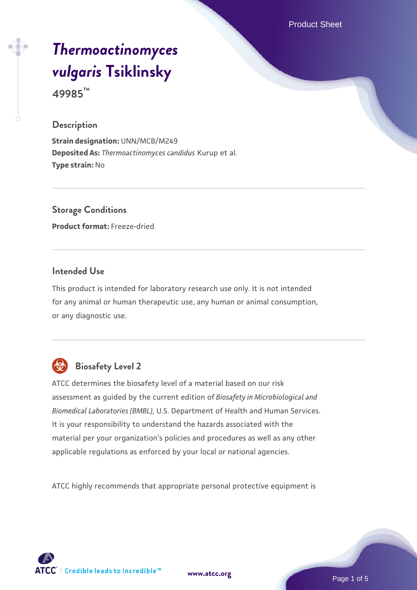Product Sheet

# *[Thermoactinomyces](https://www.atcc.org/products/49985) [vulgaris](https://www.atcc.org/products/49985)* **[Tsiklinsky](https://www.atcc.org/products/49985)**

**49985™**

#### **Description**

**Strain designation:** UNN/MCB/M249 **Deposited As:** *Thermoactinomyces candidus* Kurup et al. **Type strain:** No

**Storage Conditions Product format:** Freeze-dried

#### **Intended Use**

This product is intended for laboratory research use only. It is not intended for any animal or human therapeutic use, any human or animal consumption, or any diagnostic use.



# **Biosafety Level 2**

ATCC determines the biosafety level of a material based on our risk assessment as guided by the current edition of *Biosafety in Microbiological and Biomedical Laboratories (BMBL)*, U.S. Department of Health and Human Services. It is your responsibility to understand the hazards associated with the material per your organization's policies and procedures as well as any other applicable regulations as enforced by your local or national agencies.

ATCC highly recommends that appropriate personal protective equipment is

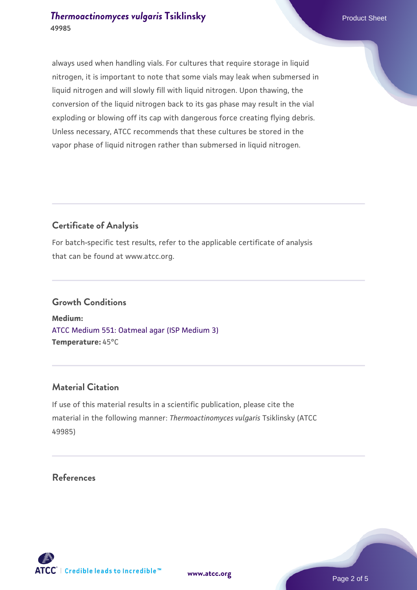### **[Thermoactinomyces vulgaris](https://www.atcc.org/products/49985) [Tsiklinsky](https://www.atcc.org/products/49985)** Product Sheet **49985**

always used when handling vials. For cultures that require storage in liquid nitrogen, it is important to note that some vials may leak when submersed in liquid nitrogen and will slowly fill with liquid nitrogen. Upon thawing, the conversion of the liquid nitrogen back to its gas phase may result in the vial exploding or blowing off its cap with dangerous force creating flying debris. Unless necessary, ATCC recommends that these cultures be stored in the vapor phase of liquid nitrogen rather than submersed in liquid nitrogen.

#### **Certificate of Analysis**

For batch-specific test results, refer to the applicable certificate of analysis that can be found at www.atcc.org.

#### **Growth Conditions**

**Medium:**  [ATCC Medium 551: Oatmeal agar \(ISP Medium 3\)](https://www.atcc.org/-/media/product-assets/documents/microbial-media-formulations/1/atcc-medium-0551.pdf?rev=a53f32f0747843508597996033414c28) **Temperature:** 45°C

#### **Material Citation**

If use of this material results in a scientific publication, please cite the material in the following manner: *Thermoactinomyces vulgaris* Tsiklinsky (ATCC 49985)

#### **References**

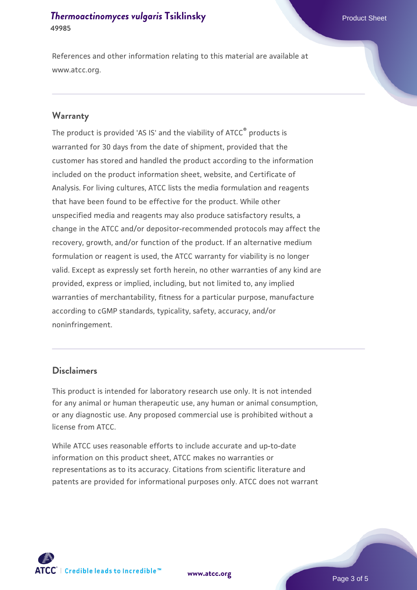#### **[Thermoactinomyces vulgaris](https://www.atcc.org/products/49985) [Tsiklinsky](https://www.atcc.org/products/49985)** Product Sheet **49985**

References and other information relating to this material are available at www.atcc.org.

#### **Warranty**

The product is provided 'AS IS' and the viability of ATCC® products is warranted for 30 days from the date of shipment, provided that the customer has stored and handled the product according to the information included on the product information sheet, website, and Certificate of Analysis. For living cultures, ATCC lists the media formulation and reagents that have been found to be effective for the product. While other unspecified media and reagents may also produce satisfactory results, a change in the ATCC and/or depositor-recommended protocols may affect the recovery, growth, and/or function of the product. If an alternative medium formulation or reagent is used, the ATCC warranty for viability is no longer valid. Except as expressly set forth herein, no other warranties of any kind are provided, express or implied, including, but not limited to, any implied warranties of merchantability, fitness for a particular purpose, manufacture according to cGMP standards, typicality, safety, accuracy, and/or noninfringement.

#### **Disclaimers**

This product is intended for laboratory research use only. It is not intended for any animal or human therapeutic use, any human or animal consumption, or any diagnostic use. Any proposed commercial use is prohibited without a license from ATCC.

While ATCC uses reasonable efforts to include accurate and up-to-date information on this product sheet, ATCC makes no warranties or representations as to its accuracy. Citations from scientific literature and patents are provided for informational purposes only. ATCC does not warrant

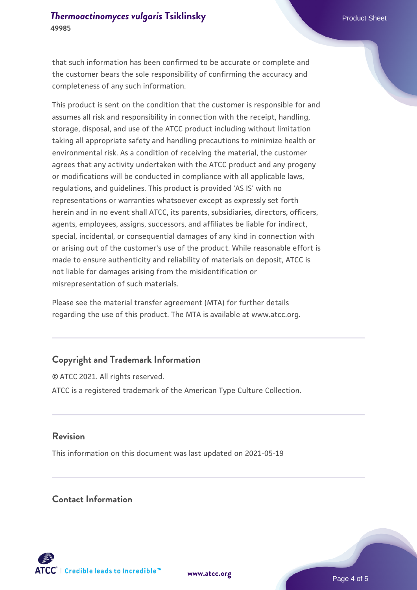that such information has been confirmed to be accurate or complete and the customer bears the sole responsibility of confirming the accuracy and completeness of any such information.

This product is sent on the condition that the customer is responsible for and assumes all risk and responsibility in connection with the receipt, handling, storage, disposal, and use of the ATCC product including without limitation taking all appropriate safety and handling precautions to minimize health or environmental risk. As a condition of receiving the material, the customer agrees that any activity undertaken with the ATCC product and any progeny or modifications will be conducted in compliance with all applicable laws, regulations, and guidelines. This product is provided 'AS IS' with no representations or warranties whatsoever except as expressly set forth herein and in no event shall ATCC, its parents, subsidiaries, directors, officers, agents, employees, assigns, successors, and affiliates be liable for indirect, special, incidental, or consequential damages of any kind in connection with or arising out of the customer's use of the product. While reasonable effort is made to ensure authenticity and reliability of materials on deposit, ATCC is not liable for damages arising from the misidentification or misrepresentation of such materials.

Please see the material transfer agreement (MTA) for further details regarding the use of this product. The MTA is available at www.atcc.org.

## **Copyright and Trademark Information**

© ATCC 2021. All rights reserved. ATCC is a registered trademark of the American Type Culture Collection.

#### **Revision**

This information on this document was last updated on 2021-05-19

#### **Contact Information**